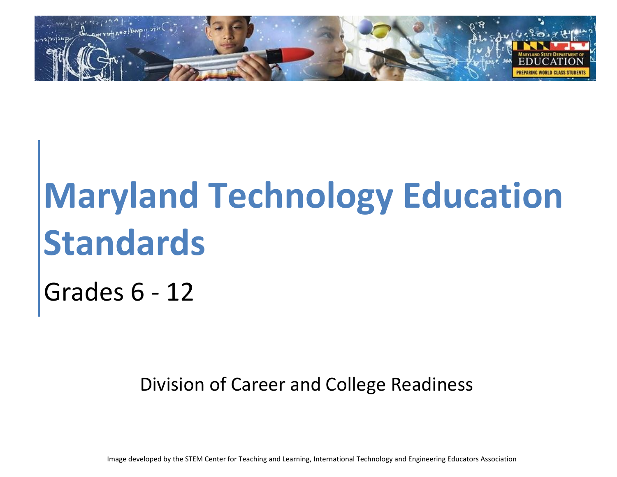

# **Maryland Technology Education Standards**

Grades 6 - 12

Division of Career and College Readiness

Image developed by the STEM Center for Teaching and Learning, International Technology and Engineering Educators Association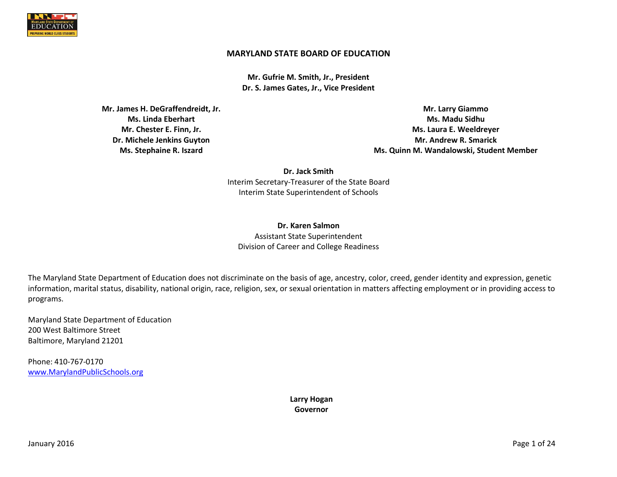

#### **MARYLAND STATE BOARD OF EDUCATION**

**Mr. Gufrie M. Smith, Jr., President Dr. S. James Gates, Jr., Vice President**

**Mr. James H. DeGraffendreidt, Jr. Ms. Linda Eberhart Mr. Chester E. Finn, Jr. Dr. Michele Jenkins Guyton Ms. Stephaine R. Iszard**

**Mr. Larry Giammo Ms. Madu Sidhu Ms. Laura E. Weeldreyer Mr. Andrew R. Smarick Ms. Quinn M. Wandalowski, Student Member**

**Dr. Jack Smith** Interim Secretary-Treasurer of the State Board Interim State Superintendent of Schools

**Dr. Karen Salmon** Assistant State Superintendent Division of Career and College Readiness

The Maryland State Department of Education does not discriminate on the basis of age, ancestry, color, creed, gender identity and expression, genetic information, marital status, disability, national origin, race, religion, sex, or sexual orientation in matters affecting employment or in providing access to programs.

Maryland State Department of Education 200 West Baltimore Street Baltimore, Maryland 21201

Phone: 410-767-0170 [www.MarylandPublicSchools.org](http://www.marylandpublicschools.org/)

> **Larry Hogan Governor**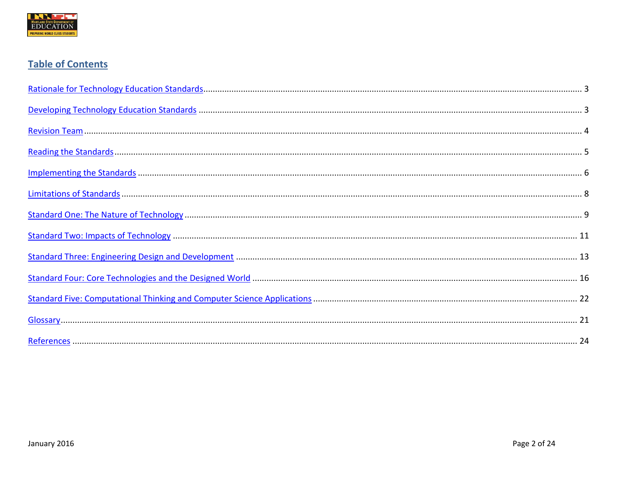

# **Table of Contents**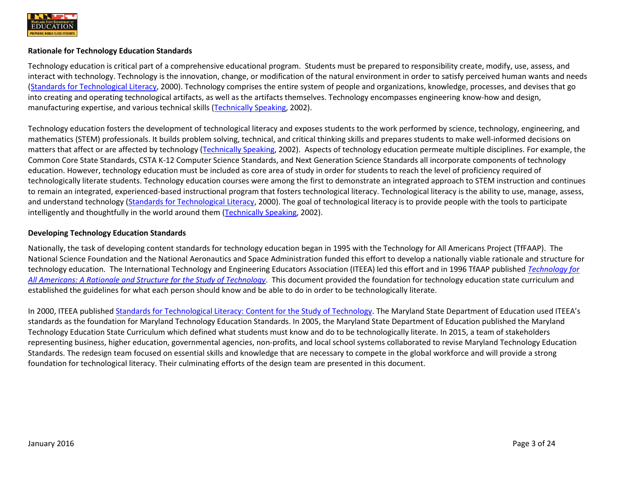

#### <span id="page-3-0"></span>**Rationale for Technology Education Standards**

Technology education is critical part of a comprehensive educational program. Students must be prepared to responsibility create, modify, use, assess, and interact with technology. Technology is the innovation, change, or modification of the natural environment in order to satisfy perceived human wants and needs [\(Standards for Technological Literacy,](http://www.iteea.org/TAA/PDFs/xstnd.pdf) 2000). Technology comprises the entire system of people and organizations, knowledge, processes, and devises that go into creating and operating technological artifacts, as well as the artifacts themselves. Technology encompasses engineering know-how and design, manufacturing expertise, and various technical skills [\(Technically Speaking,](http://www.nap.edu/openbook.php?record_id=10250) 2002).

Technology education fosters the development of technological literacy and exposes students to the work performed by science, technology, engineering, and mathematics (STEM) professionals. It builds problem solving, technical, and critical thinking skills and prepares students to make well-informed decisions on matters that affect or are affected by technology [\(Technically](http://www.nap.edu/openbook.php?record_id=10250) Speaking, 2002). Aspects of technology education permeate multiple disciplines. For example, the Common Core State Standards, CSTA K-12 Computer Science Standards, and Next Generation Science Standards all incorporate components of technology education. However, technology education must be included as core area of study in order for students to reach the level of proficiency required of technologically literate students. Technology education courses were among the first to demonstrate an integrated approach to STEM instruction and continues to remain an integrated, experienced-based instructional program that fosters technological literacy. Technological literacy is the ability to use, manage, assess, and understand technology [\(Standards for Technological Literacy,](http://www.iteea.org/TAA/PDFs/xstnd.pdf) 2000). The goal of technological literacy is to provide people with the tools to participate intelligently and thoughtfully in the world around them [\(Technically Speaking,](http://www.nap.edu/openbook.php?record_id=10250) 2002).

#### <span id="page-3-1"></span>**Developing Technology Education Standards**

Nationally, the task of developing content standards for technology education began in 1995 with the Technology for All Americans Project (TfFAAP). The National Science Foundation and the National Aeronautics and Space Administration funded this effort to develop a nationally viable rationale and structure for technology education. The International Technology and Engineering Educators Association (ITEEA) led this effort and in 1996 TfAAP published *[Technology for](http://www.iteea.org/TAA/PDFs/Taa_RandS.pdf)  [All Americans: A Rationale and Structure for the Study of Technology](http://www.iteea.org/TAA/PDFs/Taa_RandS.pdf)*. This document provided the foundation for technology education state curriculum and established the guidelines for what each person should know and be able to do in order to be technologically literate.

In 2000, ITEEA publishe[d Standards for Technological Literacy: Content for the Study of Technology.](http://www.iteea.org/TAA/PDFs/xstnd.pdf) The Maryland State Department of Education used ITEEA's standards as the foundation for Maryland Technology Education Standards. In 2005, the Maryland State Department of Education published the Maryland Technology Education State Curriculum which defined what students must know and do to be technologically literate. In 2015, a team of stakeholders representing business, higher education, governmental agencies, non-profits, and local school systems collaborated to revise Maryland Technology Education Standards. The redesign team focused on essential skills and knowledge that are necessary to compete in the global workforce and will provide a strong foundation for technological literacy. Their culminating efforts of the design team are presented in this document.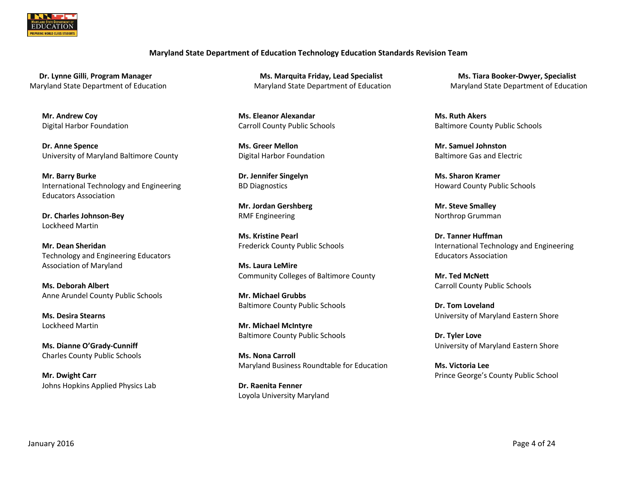<span id="page-4-0"></span>

#### **Maryland State Department of Education Technology Education Standards Revision Team**

**Mr. Andrew Coy** Digital Harbor Foundation

**Dr. Anne Spence** University of Maryland Baltimore County

**Mr. Barry Burke** International Technology and Engineering Educators Association

**Dr. Charles Johnson-Bey** Lockheed Martin

**Mr. Dean Sheridan** Technology and Engineering Educators Association of Maryland

**Ms. Deborah Albert** Anne Arundel County Public Schools

**Ms. Desira Stearns** Lockheed Martin

**Ms. Dianne O'Grady-Cunniff** Charles County Public Schools

**Mr. Dwight Carr** Johns Hopkins Applied Physics Lab

**Dr. Lynne Gilli**, Program Manager **Michael Analysis Ms. Marquita Friday, Lead Specialist Ms. Tiara Booker-Dwyer, Specialist** Maryland State Department of Education Maryland State Department of Education Maryland State Department of Education

> **Ms. Eleanor Alexandar** Carroll County Public Schools

**Ms. Greer Mellon** Digital Harbor Foundation

**Dr. Jennifer Singelyn** BD Diagnostics

**Mr. Jordan Gershberg** RMF Engineering

**Ms. Kristine Pearl** Frederick County Public Schools

**Ms. Laura LeMire** Community Colleges of Baltimore County

**Mr. Michael Grubbs** Baltimore County Public Schools

**Mr. Michael McIntyre** Baltimore County Public Schools

**Ms. Nona Carroll** Maryland Business Roundtable for Education

**Dr. Raenita Fenner** Loyola University Maryland

**Ms. Ruth Akers** Baltimore County Public Schools

**Mr. Samuel Johnston** Baltimore Gas and Electric

**Ms. Sharon Kramer** Howard County Public Schools

**Mr. Steve Smalley**  Northrop Grumman

**Dr. Tanner Huffman** International Technology and Engineering Educators Association

**Mr. Ted McNett** Carroll County Public Schools

**Dr. Tom Loveland** University of Maryland Eastern Shore

**Dr. Tyler Love** University of Maryland Eastern Shore

**Ms. Victoria Lee** Prince George's County Public School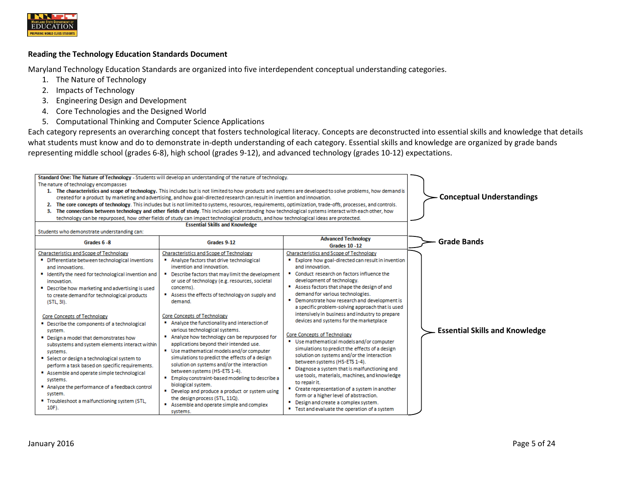

#### <span id="page-5-0"></span>**Reading the Technology Education Standards Document**

Maryland Technology Education Standards are organized into five interdependent conceptual understanding categories.

- 1. The Nature of Technology
- 2. Impacts of Technology
- 3. Engineering Design and Development
- 4. Core Technologies and the Designed World
- 5. Computational Thinking and Computer Science Applications

Each category represents an overarching concept that fosters technological literacy. Concepts are deconstructed into essential skills and knowledge that details what students must know and do to demonstrate in-depth understanding of each category. Essential skills and knowledge are organized by grade bands representing middle school (grades 6-8), high school (grades 9-12), and advanced technology (grades 10-12) expectations.

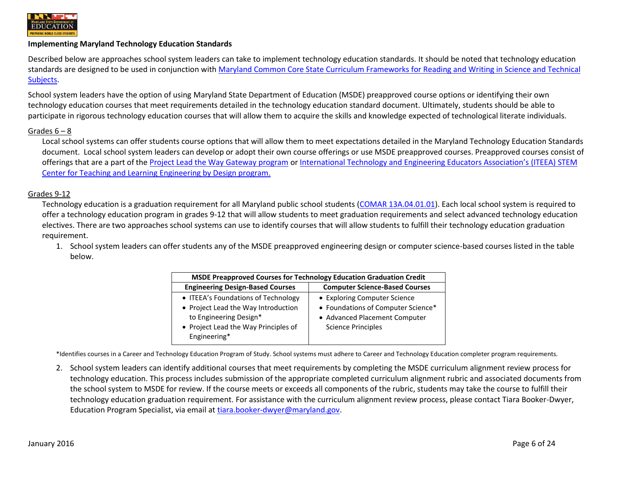

#### <span id="page-6-0"></span>**Implementing Maryland Technology Education Standards**

Described below are approaches school system leaders can take to implement technology education standards. It should be noted that technology education standards are designed to be used in conjunction with [Maryland Common Core State Curriculum Frameworks for Reading and Writing in Science and Technical](http://www.mdk12.org/instruction/curriculum/disciplinary_literacy/index.html)  [Subjects.](http://www.mdk12.org/instruction/curriculum/disciplinary_literacy/index.html)

School system leaders have the option of using Maryland State Department of Education (MSDE) preapproved course options or identifying their own technology education courses that meet requirements detailed in the technology education standard document. Ultimately, students should be able to participate in rigorous technology education courses that will allow them to acquire the skills and knowledge expected of technological literate individuals.

#### Grades 6 – 8

Local school systems can offer students course options that will allow them to meet expectations detailed in the Maryland Technology Education Standards document. Local school system leaders can develop or adopt their own course offerings or use MSDE preapproved courses. Preapproved courses consist of offerings that are a part of the [Project Lead the Way Gateway program](https://www.pltw.org/our-programs/pltw-gateway/pltw-gateway-curriculum) or [International Technology and Engineering Educators Association's](http://www.iteea.org/EbD/ebd.htm) (ITEEA) STEM [Center for Teaching and Learning](http://www.iteea.org/EbD/ebd.htm) Engineering by Design program.

#### Grades 9-12

Technology education is a graduation requirement for all Maryland public school students [\(COMAR 13A.04.01.01\)](http://www.dsd.state.md.us/comar/comarhtml/13a/13a.04.01.01.htm). Each local school system is required to offer a technology education program in grades 9-12 that will allow students to meet graduation requirements and select advanced technology education electives. There are two approaches school systems can use to identify courses that will allow students to fulfill their technology education graduation requirement.

1. School system leaders can offer students any of the MSDE preapproved engineering design or computer science-based courses listed in the table below.

| <b>MSDE Preapproved Courses for Technology Education Graduation Credit</b> |                                       |  |
|----------------------------------------------------------------------------|---------------------------------------|--|
| <b>Engineering Design-Based Courses</b>                                    | <b>Computer Science-Based Courses</b> |  |
| • ITEEA's Foundations of Technology                                        | • Exploring Computer Science          |  |
| • Project Lead the Way Introduction                                        | • Foundations of Computer Science*    |  |
| to Engineering Design*                                                     | • Advanced Placement Computer         |  |
| • Project Lead the Way Principles of                                       | <b>Science Principles</b>             |  |
| Engineering*                                                               |                                       |  |

\*Identifies courses in a Career and Technology Education Program of Study. School systems must adhere to Career and Technology Education completer program requirements.

2. School system leaders can identify additional courses that meet requirements by completing the MSDE curriculum alignment review process for technology education. This process includes submission of the appropriate completed curriculum alignment rubric and associated documents from the school system to MSDE for review. If the course meets or exceeds all components of the rubric, students may take the course to fulfill their technology education graduation requirement. For assistance with the curriculum alignment review process, please contact Tiara Booker-Dwyer, Education Program Specialist, via email at [tiara.booker-dwyer@maryland.gov.](mailto:tiara.booker-dwyer@maryland.gov)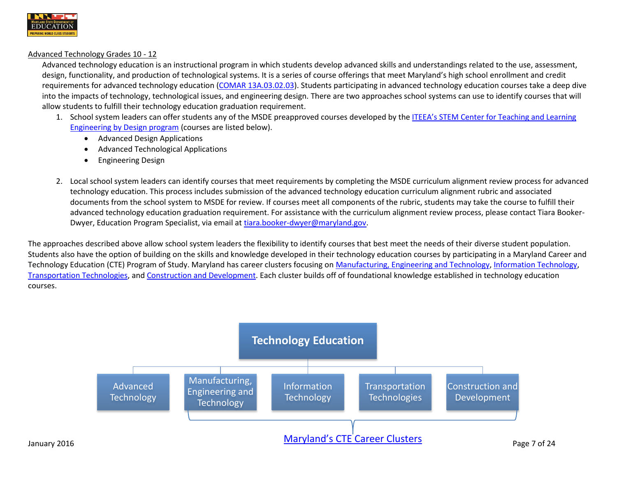

#### Advanced Technology Grades 10 - 12

Advanced technology education is an instructional program in which students develop advanced skills and understandings related to the use, assessment, design, functionality, and production of technological systems. It is a series of course offerings that meet Maryland's high school enrollment and credit requirements for advanced technology education [\(COMAR 13A.03.02.03\)](http://www.dsd.state.md.us/comar/comarhtml/13a/13a.03.02.03.htm). Students participating in advanced technology education courses take a deep dive into the impacts of technology, technological issues, and engineering design. There are two approaches school systems can use to identify courses that will allow students to fulfill their technology education graduation requirement.

- 1. School system leaders can offer students any of the MSDE preapproved courses developed by the [ITEEA's STEM Center for Teaching and Learning](http://www.iteea.org/EbD/ebd.htm)  [Engineering by Design program](http://www.iteea.org/EbD/ebd.htm) (courses are listed below).
	- Advanced Design Applications
	- Advanced Technological Applications
	- Engineering Design
- 2. Local school system leaders can identify courses that meet requirements by completing the MSDE curriculum alignment review process for advanced technology education. This process includes submission of the advanced technology education curriculum alignment rubric and associated documents from the school system to MSDE for review. If courses meet all components of the rubric, students may take the course to fulfill their advanced technology education graduation requirement. For assistance with the curriculum alignment review process, please contact Tiara Booker-Dwyer, Education Program Specialist, via email at [tiara.booker-dwyer@maryland.gov.](mailto:tiara.booker-dwyer@maryland.gov)

The approaches described above allow school system leaders the flexibility to identify courses that best meet the needs of their diverse student population. Students also have the option of building on the skills and knowledge developed in their technology education courses by participating in a Maryland Career and Technology Education (CTE) Program of Study. Maryland has career clusters focusing on [Manufacturing, Engineering and Technology,](http://www.mdcteprograms.org/pos/cluster.php?CID=9) [Information Technology,](http://www.mdcteprograms.org/pos/cluster.php?CID=8) [Transportation Technologies,](http://www.mdcteprograms.org/pos/cluster.php?CID=10) an[d Construction and Development.](http://www.mdcteprograms.org/pos/cluster.php?CID=3) Each cluster builds off of foundational knowledge established in technology education courses.

<span id="page-7-0"></span>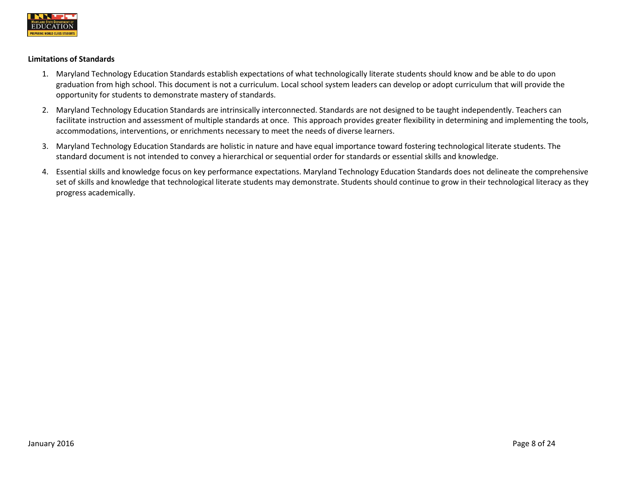

#### **Limitations of Standards**

- 1. Maryland Technology Education Standards establish expectations of what technologically literate students should know and be able to do upon graduation from high school. This document is not a curriculum. Local school system leaders can develop or adopt curriculum that will provide the opportunity for students to demonstrate mastery of standards.
- 2. Maryland Technology Education Standards are intrinsically interconnected. Standards are not designed to be taught independently. Teachers can facilitate instruction and assessment of multiple standards at once. This approach provides greater flexibility in determining and implementing the tools, accommodations, interventions, or enrichments necessary to meet the needs of diverse learners.
- 3. Maryland Technology Education Standards are holistic in nature and have equal importance toward fostering technological literate students. The standard document is not intended to convey a hierarchical or sequential order for standards or essential skills and knowledge.
- 4. Essential skills and knowledge focus on key performance expectations. Maryland Technology Education Standards does not delineate the comprehensive set of skills and knowledge that technological literate students may demonstrate. Students should continue to grow in their technological literacy as they progress academically.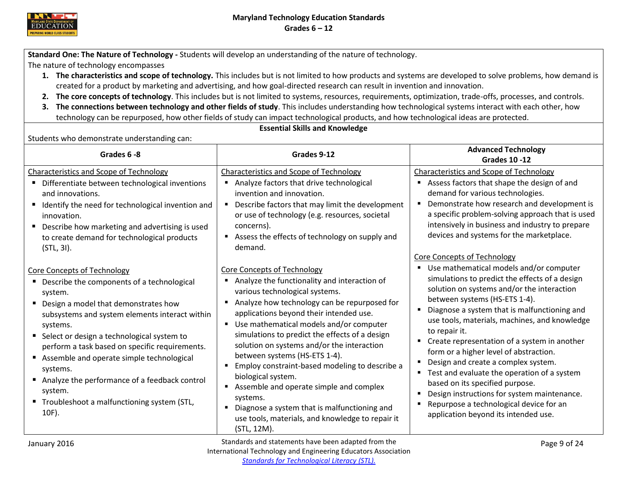

<span id="page-9-0"></span>**Standard One: The Nature of Technology -** Students will develop an understanding of the nature of technology.

The nature of technology encompasses

- **1. The characteristics and scope of technology.** This includes but is not limited to how products and systems are developed to solve problems, how demand is created for a product by marketing and advertising, and how goal-directed research can result in invention and innovation.
- **2. The core concepts of technology**. This includes but is not limited to systems, resources, requirements, optimization, trade-offs, processes, and controls.
- **3. The connections between technology and other fields of study**. This includes understanding how technological systems interact with each other, how technology can be repurposed, how other fields of study can impact technological products, and how technological ideas are protected.

# **Essential Skills and Knowledge**

| Grades 6-8                                                                                                                                                                                                                                                                                                                                                                                                                                                                        | Grades 9-12                                                                                                                                                                                                                                                                                                                                                                                                                                                                                                                                                                                                                                              | <b>Advanced Technology</b><br><b>Grades 10 -12</b>                                                                                                                                                                                                                                                                                                                                                                                                                                                                                                                                                                                                                                    |
|-----------------------------------------------------------------------------------------------------------------------------------------------------------------------------------------------------------------------------------------------------------------------------------------------------------------------------------------------------------------------------------------------------------------------------------------------------------------------------------|----------------------------------------------------------------------------------------------------------------------------------------------------------------------------------------------------------------------------------------------------------------------------------------------------------------------------------------------------------------------------------------------------------------------------------------------------------------------------------------------------------------------------------------------------------------------------------------------------------------------------------------------------------|---------------------------------------------------------------------------------------------------------------------------------------------------------------------------------------------------------------------------------------------------------------------------------------------------------------------------------------------------------------------------------------------------------------------------------------------------------------------------------------------------------------------------------------------------------------------------------------------------------------------------------------------------------------------------------------|
| <b>Characteristics and Scope of Technology</b><br>Differentiate between technological inventions<br>п.<br>and innovations.<br>Identify the need for technological invention and<br>п.<br>innovation.<br>Describe how marketing and advertising is used<br>п<br>to create demand for technological products<br>(STL, 31).                                                                                                                                                          | <b>Characteristics and Scope of Technology</b><br>Analyze factors that drive technological<br>invention and innovation.<br>Describe factors that may limit the development<br>or use of technology (e.g. resources, societal<br>concerns).<br>Assess the effects of technology on supply and<br>demand.                                                                                                                                                                                                                                                                                                                                                  | <b>Characteristics and Scope of Technology</b><br>Assess factors that shape the design of and<br>demand for various technologies.<br>Demonstrate how research and development is<br>a specific problem-solving approach that is used<br>intensively in business and industry to prepare<br>devices and systems for the marketplace.                                                                                                                                                                                                                                                                                                                                                   |
| <b>Core Concepts of Technology</b><br>■ Describe the components of a technological<br>system.<br>Design a model that demonstrates how<br>subsystems and system elements interact within<br>systems.<br>Select or design a technological system to<br>perform a task based on specific requirements.<br>Assemble and operate simple technological<br>systems.<br>Analyze the performance of a feedback control<br>system.<br>■ Troubleshoot a malfunctioning system (STL,<br>10F). | Core Concepts of Technology<br>Analyze the functionality and interaction of<br>various technological systems.<br>Analyze how technology can be repurposed for<br>applications beyond their intended use.<br>Use mathematical models and/or computer<br>simulations to predict the effects of a design<br>solution on systems and/or the interaction<br>between systems (HS-ETS 1-4).<br>Employ constraint-based modeling to describe a<br>$\blacksquare$<br>biological system.<br>Assemble and operate simple and complex<br>systems.<br>Diagnose a system that is malfunctioning and<br>use tools, materials, and knowledge to repair it<br>(STL, 12M). | <b>Core Concepts of Technology</b><br>Use mathematical models and/or computer<br>simulations to predict the effects of a design<br>solution on systems and/or the interaction<br>between systems (HS-ETS 1-4).<br>Diagnose a system that is malfunctioning and<br>use tools, materials, machines, and knowledge<br>to repair it.<br>Create representation of a system in another<br>form or a higher level of abstraction.<br>Design and create a complex system.<br>Test and evaluate the operation of a system<br>based on its specified purpose.<br>Design instructions for system maintenance.<br>Repurpose a technological device for an<br>application beyond its intended use. |
| January 2016                                                                                                                                                                                                                                                                                                                                                                                                                                                                      | Standards and statements have been adapted from the                                                                                                                                                                                                                                                                                                                                                                                                                                                                                                                                                                                                      | Page 9 of 24                                                                                                                                                                                                                                                                                                                                                                                                                                                                                                                                                                                                                                                                          |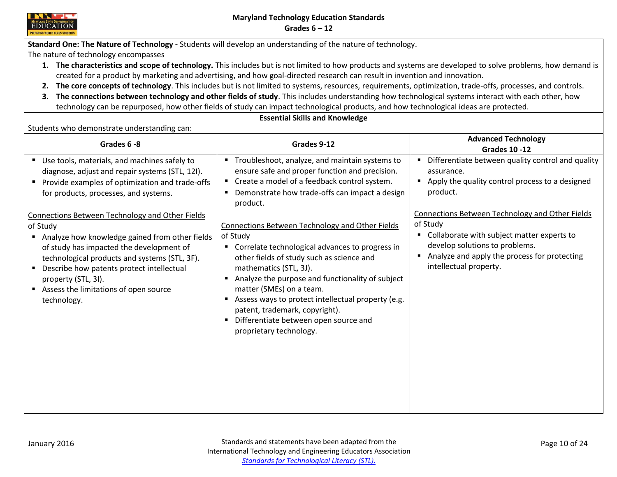

**Standard One: The Nature of Technology -** Students will develop an understanding of the nature of technology.

The nature of technology encompasses

- **1. The characteristics and scope of technology.** This includes but is not limited to how products and systems are developed to solve problems, how demand is created for a product by marketing and advertising, and how goal-directed research can result in invention and innovation.
- **2. The core concepts of technology**. This includes but is not limited to systems, resources, requirements, optimization, trade-offs, processes, and controls.
- **3. The connections between technology and other fields of study**. This includes understanding how technological systems interact with each other, how technology can be repurposed, how other fields of study can impact technological products, and how technological ideas are protected.

**Essential Skills and Knowledge**

| Grades 6-8                                                                                                                                                                                                                                                                                                                                                                                                                                                                                                                                   | Grades 9-12                                                                                                                                                                                                                                                                                                                                                                                                                                                                                                                                                                                                                                                   | <b>Advanced Technology</b><br><b>Grades 10 -12</b>                                                                                                                                                                                                                                                                                                               |
|----------------------------------------------------------------------------------------------------------------------------------------------------------------------------------------------------------------------------------------------------------------------------------------------------------------------------------------------------------------------------------------------------------------------------------------------------------------------------------------------------------------------------------------------|---------------------------------------------------------------------------------------------------------------------------------------------------------------------------------------------------------------------------------------------------------------------------------------------------------------------------------------------------------------------------------------------------------------------------------------------------------------------------------------------------------------------------------------------------------------------------------------------------------------------------------------------------------------|------------------------------------------------------------------------------------------------------------------------------------------------------------------------------------------------------------------------------------------------------------------------------------------------------------------------------------------------------------------|
| Use tools, materials, and machines safely to<br>diagnose, adjust and repair systems (STL, 12I).<br>Provide examples of optimization and trade-offs<br>for products, processes, and systems.<br><b>Connections Between Technology and Other Fields</b><br>of Study<br>Analyze how knowledge gained from other fields<br>of study has impacted the development of<br>technological products and systems (STL, 3F).<br>Describe how patents protect intellectual<br>property (STL, 3I).<br>Assess the limitations of open source<br>technology. | " Troubleshoot, analyze, and maintain systems to<br>ensure safe and proper function and precision.<br>" Create a model of a feedback control system.<br>• Demonstrate how trade-offs can impact a design<br>product.<br>Connections Between Technology and Other Fields<br>of Study<br>" Correlate technological advances to progress in<br>other fields of study such as science and<br>mathematics (STL, 3J).<br>Analyze the purpose and functionality of subject<br>matter (SMEs) on a team.<br>Assess ways to protect intellectual property (e.g.<br>patent, trademark, copyright).<br>" Differentiate between open source and<br>proprietary technology. | " Differentiate between quality control and quality<br>assurance.<br>Apply the quality control process to a designed<br>product.<br><b>Connections Between Technology and Other Fields</b><br>of Study<br>Collaborate with subject matter experts to<br>develop solutions to problems.<br>Analyze and apply the process for protecting<br>intellectual property. |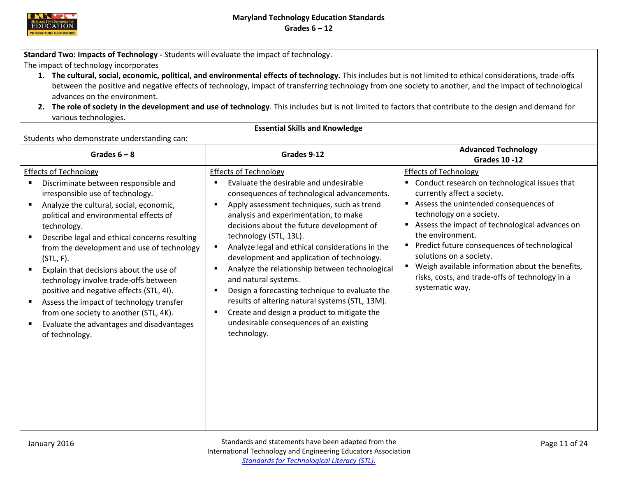

<span id="page-11-0"></span>**Standard Two: Impacts of Technology -** Students will evaluate the impact of technology.

The impact of technology incorporates

- **1. The cultural, social, economic, political, and environmental effects of technology.** This includes but is not limited to ethical considerations, trade-offs between the positive and negative effects of technology, impact of transferring technology from one society to another, and the impact of technological advances on the environment.
- **2. The role of society in the development and use of technology**. This includes but is not limited to factors that contribute to the design and demand for various technologies.

**Essential Skills and Knowledge** Students who demonstrate understanding can: **Grades 6 – 8 Grades 9-12 Advanced Technology Grades 10 -12** Effects of Technology Discriminate between responsible and irresponsible use of technology. Analyze the cultural, social, economic, political and environmental effects of technology. Describe legal and ethical concerns resulting from the development and use of technology (STL, F). Explain that decisions about the use of technology involve trade-offs between positive and negative effects (STL, 4I). ■ Assess the impact of technology transfer from one society to another (STL, 4K). **Evaluate the advantages and disadvantages** of technology. Effects of Technology Evaluate the desirable and undesirable consequences of technological advancements. **Apply assessment techniques, such as trend** analysis and experimentation, to make decisions about the future development of technology (STL, 13L). **Analyze legal and ethical considerations in the** development and application of technology. **Analyze the relationship between technological** and natural systems. **Design a forecasting technique to evaluate the** results of altering natural systems (STL, 13M). **EXECT** Create and design a product to mitigate the undesirable consequences of an existing technology. Effects of Technology Conduct research on technological issues that currently affect a society. Assess the unintended consequences of technology on a society. Assess the impact of technological advances on the environment. **Predict future consequences of technological** solutions on a society. Weigh available information about the benefits, risks, costs, and trade-offs of technology in a systematic way.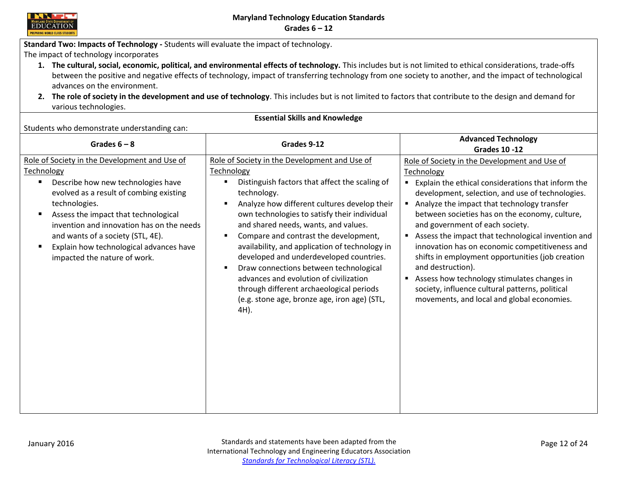

**Standard Two: Impacts of Technology -** Students will evaluate the impact of technology.

The impact of technology incorporates

- **1. The cultural, social, economic, political, and environmental effects of technology.** This includes but is not limited to ethical considerations, trade-offs between the positive and negative effects of technology, impact of transferring technology from one society to another, and the impact of technological advances on the environment.
- **2. The role of society in the development and use of technology**. This includes but is not limited to factors that contribute to the design and demand for various technologies.

| Grades $6 - 8$                                                                                                                                                                                                                                                                                                                                                                      | Grades 9-12                                                                                                                                                                                                                                                                                                                                                                                                                                                                                                                                                                                                                         | <b>Advanced Technology</b><br><b>Grades 10 -12</b>                                                                                                                                                                                                                                                                                                                                                                                                                                                                                                                                                                                         |
|-------------------------------------------------------------------------------------------------------------------------------------------------------------------------------------------------------------------------------------------------------------------------------------------------------------------------------------------------------------------------------------|-------------------------------------------------------------------------------------------------------------------------------------------------------------------------------------------------------------------------------------------------------------------------------------------------------------------------------------------------------------------------------------------------------------------------------------------------------------------------------------------------------------------------------------------------------------------------------------------------------------------------------------|--------------------------------------------------------------------------------------------------------------------------------------------------------------------------------------------------------------------------------------------------------------------------------------------------------------------------------------------------------------------------------------------------------------------------------------------------------------------------------------------------------------------------------------------------------------------------------------------------------------------------------------------|
| Role of Society in the Development and Use of<br><b>Technology</b><br>Describe how new technologies have<br>evolved as a result of combing existing<br>technologies.<br>Assess the impact that technological<br>٠<br>invention and innovation has on the needs<br>and wants of a society (STL, 4E).<br>Explain how technological advances have<br>п<br>impacted the nature of work. | Role of Society in the Development and Use of<br>Technology<br>Distinguish factors that affect the scaling of<br>٠<br>technology.<br>Analyze how different cultures develop their<br>п<br>own technologies to satisfy their individual<br>and shared needs, wants, and values.<br>Compare and contrast the development,<br>п<br>availability, and application of technology in<br>developed and underdeveloped countries.<br>Draw connections between technological<br>$\blacksquare$<br>advances and evolution of civilization<br>through different archaeological periods<br>(e.g. stone age, bronze age, iron age) (STL,<br>4H). | Role of Society in the Development and Use of<br>Technology<br>Explain the ethical considerations that inform the<br>development, selection, and use of technologies.<br>Analyze the impact that technology transfer<br>between societies has on the economy, culture,<br>and government of each society.<br>Assess the impact that technological invention and<br>innovation has on economic competitiveness and<br>shifts in employment opportunities (job creation<br>and destruction).<br>Assess how technology stimulates changes in<br>society, influence cultural patterns, political<br>movements, and local and global economies. |

**Essential Skills and Knowledge**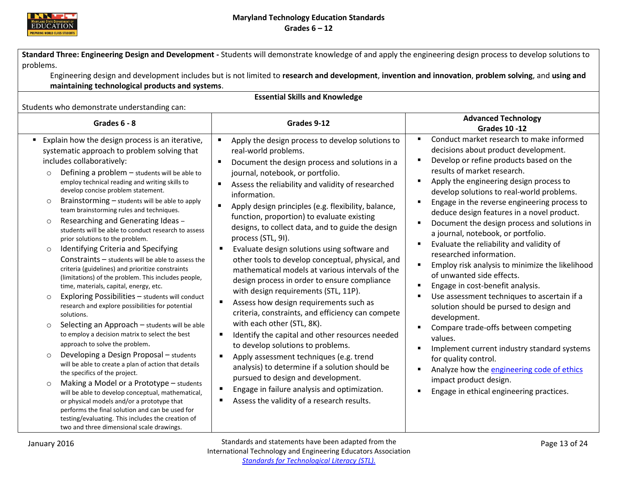

<span id="page-13-0"></span>**Standard Three: Engineering Design and Development -** Students will demonstrate knowledge of and apply the engineering design process to develop solutions to problems.

Engineering design and development includes but is not limited to **research and development**, **invention and innovation**, **problem solving**, and **using and maintaining technological products and systems**.

**Essential Skills and Knowledge** Students who demonstrate understanding can: **Grades 6 - <sup>8</sup> Grades 9-12 Advanced Technology Grades 10 -12** Explain how the design process is an iterative, systematic approach to problem solving that includes collaboratively:  $\circ$  Defining a problem – students will be able to employ technical reading and writing skills to develop concise problem statement.  $\circ$  Brainstorming – students will be able to apply team brainstorming rules and techniques. o Researching and Generating Ideas – students will be able to conduct research to assess prior solutions to the problem. o Identifying Criteria and Specifying Constraints – students will be able to assess the criteria (guidelines) and prioritize constraints (limitations) of the problem. This includes people, time, materials, capital, energy, etc. o Exploring Possibilities – students will conduct research and explore possibilities for potential solutions.  $\circ$  Selecting an Approach – students will be able to employ a decision matrix to select the best approach to solve the problem. o Developing a Design Proposal – students will be able to create a plan of action that details the specifics of the project. o Making a Model or a Prototype – students will be able to develop conceptual, mathematical, or physical models and/or a prototype that performs the final solution and can be used for testing/evaluating. This includes the creation of two and three dimensional scale drawings. Apply the design process to develop solutions to real-world problems. Document the design process and solutions in a journal, notebook, or portfolio. ■ Assess the reliability and validity of researched information. **Apply design principles (e.g. flexibility, balance,** function, proportion) to evaluate existing designs, to collect data, and to guide the design process (STL, 9I). Evaluate design solutions using software and other tools to develop conceptual, physical, and mathematical models at various intervals of the design process in order to ensure compliance with design requirements (STL, 11P). Assess how design requirements such as criteria, constraints, and efficiency can compete with each other (STL, 8K). ■ Identify the capital and other resources needed to develop solutions to problems. Apply assessment techniques (e.g. trend analysis) to determine if a solution should be pursued to design and development. **Engage in failure analysis and optimization.** Assess the validity of a research results. Conduct market research to make informed decisions about product development. Develop or refine products based on the results of market research. **Apply the engineering design process to** develop solutions to real-world problems. **Engage in the reverse engineering process to** deduce design features in a novel product. Document the design process and solutions in a journal, notebook, or portfolio. Evaluate the reliability and validity of researched information. **Employ risk analysis to minimize the likelihood** of unwanted side effects. **Engage in cost-benefit analysis.**  Use assessment techniques to ascertain if a solution should be pursed to design and development. Compare trade-offs between competing values. **IMPLEMENT CULLET** industry standard systems for quality control. Analyze how the [engineering code of ethics](http://www.nspe.org/resources/ethics/code-ethics) impact product design. Engage in ethical engineering practices.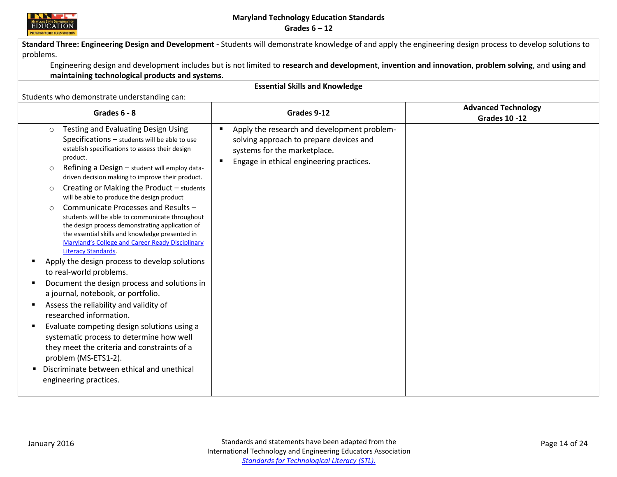

|                                                                                                                                                                                                                                                                                                                                                                                                                                                                                                                                                                                                                                                                                                                                                                                                                                                                                                                                                                                                                                                                                                                                                                        | Standard Three: Engineering Design and Development - Students will demonstrate knowledge of and apply the engineering design process to develop solutions to                 |                                                    |
|------------------------------------------------------------------------------------------------------------------------------------------------------------------------------------------------------------------------------------------------------------------------------------------------------------------------------------------------------------------------------------------------------------------------------------------------------------------------------------------------------------------------------------------------------------------------------------------------------------------------------------------------------------------------------------------------------------------------------------------------------------------------------------------------------------------------------------------------------------------------------------------------------------------------------------------------------------------------------------------------------------------------------------------------------------------------------------------------------------------------------------------------------------------------|------------------------------------------------------------------------------------------------------------------------------------------------------------------------------|----------------------------------------------------|
| problems.                                                                                                                                                                                                                                                                                                                                                                                                                                                                                                                                                                                                                                                                                                                                                                                                                                                                                                                                                                                                                                                                                                                                                              | Engineering design and development includes but is not limited to research and development, invention and innovation, problem solving, and using and                         |                                                    |
| maintaining technological products and systems.                                                                                                                                                                                                                                                                                                                                                                                                                                                                                                                                                                                                                                                                                                                                                                                                                                                                                                                                                                                                                                                                                                                        |                                                                                                                                                                              |                                                    |
|                                                                                                                                                                                                                                                                                                                                                                                                                                                                                                                                                                                                                                                                                                                                                                                                                                                                                                                                                                                                                                                                                                                                                                        | <b>Essential Skills and Knowledge</b>                                                                                                                                        |                                                    |
| Students who demonstrate understanding can:                                                                                                                                                                                                                                                                                                                                                                                                                                                                                                                                                                                                                                                                                                                                                                                                                                                                                                                                                                                                                                                                                                                            |                                                                                                                                                                              |                                                    |
| Grades 6 - 8                                                                                                                                                                                                                                                                                                                                                                                                                                                                                                                                                                                                                                                                                                                                                                                                                                                                                                                                                                                                                                                                                                                                                           | Grades 9-12                                                                                                                                                                  | <b>Advanced Technology</b><br><b>Grades 10 -12</b> |
| Testing and Evaluating Design Using<br>$\Omega$<br>$Specifications - students will be able to use$<br>establish specifications to assess their design<br>product.<br>Refining a Design - student will employ data-<br>$\circ$<br>driven decision making to improve their product.<br>Creating or Making the Product - students<br>$\circ$<br>will be able to produce the design product<br>Communicate Processes and Results -<br>students will be able to communicate throughout<br>the design process demonstrating application of<br>the essential skills and knowledge presented in<br><b>Maryland's College and Career Ready Disciplinary</b><br><b>Literacy Standards.</b><br>Apply the design process to develop solutions<br>to real-world problems.<br>Document the design process and solutions in<br>a journal, notebook, or portfolio.<br>Assess the reliability and validity of<br>researched information.<br>Evaluate competing design solutions using a<br>systematic process to determine how well<br>they meet the criteria and constraints of a<br>problem (MS-ETS1-2).<br>Discriminate between ethical and unethical<br>٠<br>engineering practices. | Apply the research and development problem-<br>п<br>solving approach to prepare devices and<br>systems for the marketplace.<br>Engage in ethical engineering practices.<br>п |                                                    |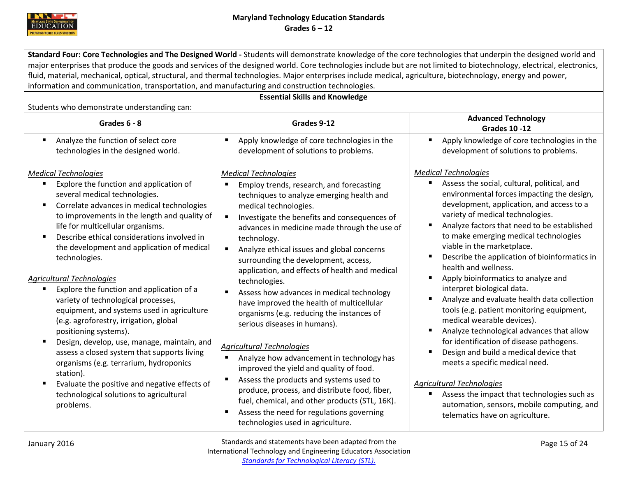

<span id="page-15-0"></span>**Standard Four: Core Technologies and The Designed World -** Students will demonstrate knowledge of the core technologies that underpin the designed world and major enterprises that produce the goods and services of the designed world. Core technologies include but are not limited to biotechnology, electrical, electronics, fluid, material, mechanical, optical, structural, and thermal technologies. Major enterprises include medical, agriculture, biotechnology, energy and power, information and communication, transportation, and manufacturing and construction technologies.

**Essential Skills and Knowledge**

| Grades 6 - 8                                                                                                                                                                                                                                                                                                                                                                                                                                                                                                                                                                                                                                                                                                                                                                                                                                                    | Grades 9-12                                                                                                                                                                                                                                                                                                                                                                                                                                                                                                                                                                                                                                                                                                                                                                                                                                                                                                                                              | <b>Advanced Technology</b><br><b>Grades 10 -12</b>                                                                                                                                                                                                                                                                                                                                                                                                                                                                                                                                                                                                                                                                                                                                                                                                                                                                                                                                  |
|-----------------------------------------------------------------------------------------------------------------------------------------------------------------------------------------------------------------------------------------------------------------------------------------------------------------------------------------------------------------------------------------------------------------------------------------------------------------------------------------------------------------------------------------------------------------------------------------------------------------------------------------------------------------------------------------------------------------------------------------------------------------------------------------------------------------------------------------------------------------|----------------------------------------------------------------------------------------------------------------------------------------------------------------------------------------------------------------------------------------------------------------------------------------------------------------------------------------------------------------------------------------------------------------------------------------------------------------------------------------------------------------------------------------------------------------------------------------------------------------------------------------------------------------------------------------------------------------------------------------------------------------------------------------------------------------------------------------------------------------------------------------------------------------------------------------------------------|-------------------------------------------------------------------------------------------------------------------------------------------------------------------------------------------------------------------------------------------------------------------------------------------------------------------------------------------------------------------------------------------------------------------------------------------------------------------------------------------------------------------------------------------------------------------------------------------------------------------------------------------------------------------------------------------------------------------------------------------------------------------------------------------------------------------------------------------------------------------------------------------------------------------------------------------------------------------------------------|
| Analyze the function of select core<br>technologies in the designed world.                                                                                                                                                                                                                                                                                                                                                                                                                                                                                                                                                                                                                                                                                                                                                                                      | Apply knowledge of core technologies in the<br>development of solutions to problems.                                                                                                                                                                                                                                                                                                                                                                                                                                                                                                                                                                                                                                                                                                                                                                                                                                                                     | Apply knowledge of core technologies in the<br>Ξ<br>development of solutions to problems.                                                                                                                                                                                                                                                                                                                                                                                                                                                                                                                                                                                                                                                                                                                                                                                                                                                                                           |
| <b>Medical Technologies</b><br>Explore the function and application of<br>several medical technologies.<br>Correlate advances in medical technologies<br>to improvements in the length and quality of<br>life for multicellular organisms.<br>Describe ethical considerations involved in<br>the development and application of medical<br>technologies.<br><b>Agricultural Technologies</b><br>Explore the function and application of a<br>variety of technological processes,<br>equipment, and systems used in agriculture<br>(e.g. agroforestry, irrigation, global<br>positioning systems).<br>Design, develop, use, manage, maintain, and<br>assess a closed system that supports living<br>organisms (e.g. terrarium, hydroponics<br>station).<br>Evaluate the positive and negative effects of<br>technological solutions to agricultural<br>problems. | <b>Medical Technologies</b><br>Employ trends, research, and forecasting<br>techniques to analyze emerging health and<br>medical technologies.<br>Investigate the benefits and consequences of<br>advances in medicine made through the use of<br>technology.<br>Analyze ethical issues and global concerns<br>surrounding the development, access,<br>application, and effects of health and medical<br>technologies.<br>Assess how advances in medical technology<br>have improved the health of multicellular<br>organisms (e.g. reducing the instances of<br>serious diseases in humans).<br><b>Agricultural Technologies</b><br>Analyze how advancement in technology has<br>improved the yield and quality of food.<br>Assess the products and systems used to<br>produce, process, and distribute food, fiber,<br>fuel, chemical, and other products (STL, 16K).<br>Assess the need for regulations governing<br>technologies used in agriculture. | <b>Medical Technologies</b><br>Assess the social, cultural, political, and<br>environmental forces impacting the design,<br>development, application, and access to a<br>variety of medical technologies.<br>Analyze factors that need to be established<br>٠<br>to make emerging medical technologies<br>viable in the marketplace.<br>Describe the application of bioinformatics in<br>٠<br>health and wellness.<br>Apply bioinformatics to analyze and<br>п<br>interpret biological data.<br>Analyze and evaluate health data collection<br>Ξ<br>tools (e.g. patient monitoring equipment,<br>medical wearable devices).<br>Analyze technological advances that allow<br>Е<br>for identification of disease pathogens.<br>Design and build a medical device that<br>Ξ<br>meets a specific medical need.<br><b>Agricultural Technologies</b><br>Assess the impact that technologies such as<br>п<br>automation, sensors, mobile computing, and<br>telematics have on agriculture. |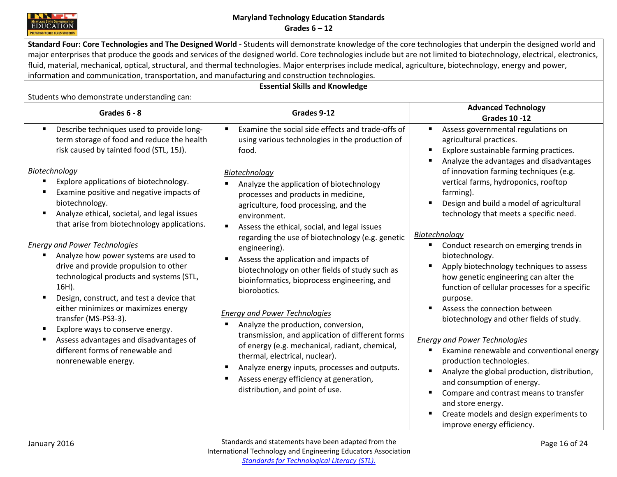

**Standard Four: Core Technologies and The Designed World -** Students will demonstrate knowledge of the core technologies that underpin the designed world and major enterprises that produce the goods and services of the designed world. Core technologies include but are not limited to biotechnology, electrical, electronics, fluid, material, mechanical, optical, structural, and thermal technologies. Major enterprises include medical, agriculture, biotechnology, energy and power, information and communication, transportation, and manufacturing and construction technologies.

# **Essential Skills and Knowledge**

| Grades 6 - 8                                                                                                                                                                                                                                                                                                                                                                                                                                                                                                                                                                                                                                                                                                                                                                                                   | Grades 9-12                                                                                                                                                                                                                                                                                                                                                                                                                                                                                                                                                                                                                                                                                                                                                                                                                                                                                                                                  | <b>Advanced Technology</b><br><b>Grades 10 -12</b>                                                                                                                                                                                                                                                                                                                                                                                                                                                                                                                                                                                                                                                                                                                                                                                                                                                                                                                                                                                          |
|----------------------------------------------------------------------------------------------------------------------------------------------------------------------------------------------------------------------------------------------------------------------------------------------------------------------------------------------------------------------------------------------------------------------------------------------------------------------------------------------------------------------------------------------------------------------------------------------------------------------------------------------------------------------------------------------------------------------------------------------------------------------------------------------------------------|----------------------------------------------------------------------------------------------------------------------------------------------------------------------------------------------------------------------------------------------------------------------------------------------------------------------------------------------------------------------------------------------------------------------------------------------------------------------------------------------------------------------------------------------------------------------------------------------------------------------------------------------------------------------------------------------------------------------------------------------------------------------------------------------------------------------------------------------------------------------------------------------------------------------------------------------|---------------------------------------------------------------------------------------------------------------------------------------------------------------------------------------------------------------------------------------------------------------------------------------------------------------------------------------------------------------------------------------------------------------------------------------------------------------------------------------------------------------------------------------------------------------------------------------------------------------------------------------------------------------------------------------------------------------------------------------------------------------------------------------------------------------------------------------------------------------------------------------------------------------------------------------------------------------------------------------------------------------------------------------------|
| Describe techniques used to provide long-<br>л<br>term storage of food and reduce the health<br>risk caused by tainted food (STL, 15J).<br>Biotechnology<br>Explore applications of biotechnology.<br>л<br>Examine positive and negative impacts of<br>biotechnology.<br>Analyze ethical, societal, and legal issues<br>л<br>that arise from biotechnology applications.<br><b>Energy and Power Technologies</b><br>Analyze how power systems are used to<br>drive and provide propulsion to other<br>technological products and systems (STL,<br>16H).<br>Design, construct, and test a device that<br>either minimizes or maximizes energy<br>transfer (MS-PS3-3).<br>Explore ways to conserve energy.<br>Assess advantages and disadvantages of<br>different forms of renewable and<br>nonrenewable energy. | Examine the social side effects and trade-offs of<br>п.<br>using various technologies in the production of<br>food.<br>Biotechnology<br>Analyze the application of biotechnology<br>processes and products in medicine,<br>agriculture, food processing, and the<br>environment.<br>Assess the ethical, social, and legal issues<br>$\blacksquare$<br>regarding the use of biotechnology (e.g. genetic<br>engineering).<br>Assess the application and impacts of<br>biotechnology on other fields of study such as<br>bioinformatics, bioprocess engineering, and<br>biorobotics.<br><b>Energy and Power Technologies</b><br>Analyze the production, conversion,<br>transmission, and application of different forms<br>of energy (e.g. mechanical, radiant, chemical,<br>thermal, electrical, nuclear).<br>Analyze energy inputs, processes and outputs.<br>п<br>Assess energy efficiency at generation,<br>distribution, and point of use. | Assess governmental regulations on<br>п<br>agricultural practices.<br>Explore sustainable farming practices.<br>п<br>Analyze the advantages and disadvantages<br>п<br>of innovation farming techniques (e.g.<br>vertical farms, hydroponics, rooftop<br>farming).<br>Design and build a model of agricultural<br>п<br>technology that meets a specific need.<br>Biotechnology<br>Conduct research on emerging trends in<br>biotechnology.<br>Apply biotechnology techniques to assess<br>$\blacksquare$<br>how genetic engineering can alter the<br>function of cellular processes for a specific<br>purpose.<br>Assess the connection between<br>п<br>biotechnology and other fields of study.<br><b>Energy and Power Technologies</b><br>Examine renewable and conventional energy<br>production technologies.<br>Analyze the global production, distribution,<br>and consumption of energy.<br>Compare and contrast means to transfer<br>п<br>and store energy.<br>Create models and design experiments to<br>improve energy efficiency. |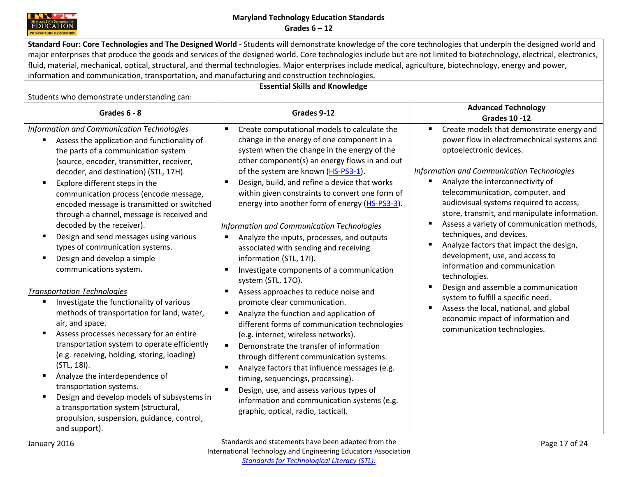

**Standard Four: Core Technologies and The Designed World -** Students will demonstrate knowledge of the core technologies that underpin the designed world and major enterprises that produce the goods and services of the designed world. Core technologies include but are not limited to biotechnology, electrical, electronics, fluid, material, mechanical, optical, structural, and thermal technologies. Major enterprises include medical, agriculture, biotechnology, energy and power, information and communication, transportation, and manufacturing and construction technologies.

# **Essential Skills and Knowledge**

| Grades 6 - 8                                                                                                                                                                                                                                                                                                                                                                                                                                                                                                                                                                                  | Grades 9-12                                                                                                                                                                                                                                                                                                                                                                                                                                                                                                                                                                                                                | <b>Advanced Technology</b><br><b>Grades 10 -12</b>                                                                                                                                                                                                                                                                                                                                                                                                                                                                                                                   |
|-----------------------------------------------------------------------------------------------------------------------------------------------------------------------------------------------------------------------------------------------------------------------------------------------------------------------------------------------------------------------------------------------------------------------------------------------------------------------------------------------------------------------------------------------------------------------------------------------|----------------------------------------------------------------------------------------------------------------------------------------------------------------------------------------------------------------------------------------------------------------------------------------------------------------------------------------------------------------------------------------------------------------------------------------------------------------------------------------------------------------------------------------------------------------------------------------------------------------------------|----------------------------------------------------------------------------------------------------------------------------------------------------------------------------------------------------------------------------------------------------------------------------------------------------------------------------------------------------------------------------------------------------------------------------------------------------------------------------------------------------------------------------------------------------------------------|
| Information and Communication Technologies<br>Assess the application and functionality of<br>the parts of a communication system<br>(source, encoder, transmitter, receiver,<br>decoder, and destination) (STL, 17H).<br>Explore different steps in the<br>$\blacksquare$<br>communication process (encode message,<br>encoded message is transmitted or switched<br>through a channel, message is received and<br>decoded by the receiver).<br>Design and send messages using various<br>п.<br>types of communication systems.<br>Design and develop a simple<br>п<br>communications system. | Create computational models to calculate the<br>change in the energy of one component in a<br>system when the change in the energy of the<br>other component(s) an energy flows in and out<br>of the system are known (HS-PS3-1).<br>Design, build, and refine a device that works<br>within given constraints to convert one form of<br>energy into another form of energy (HS-PS3-3).<br>Information and Communication Technologies<br>Analyze the inputs, processes, and outputs<br>associated with sending and receiving<br>information (STL, 17I).<br>Investigate components of a communication<br>system (STL, 170). | Create models that demonstrate energy and<br>power flow in electromechnical systems and<br>optoelectronic devices.<br>Information and Communication Technologies<br>Analyze the interconnectivity of<br>telecommunication, computer, and<br>audiovisual systems required to access,<br>store, transmit, and manipulate information.<br>Assess a variety of communication methods,<br>٠<br>techniques, and devices.<br>Analyze factors that impact the design,<br>$\blacksquare$<br>development, use, and access to<br>information and communication<br>technologies. |
| <b>Transportation Technologies</b><br>Investigate the functionality of various<br>п<br>methods of transportation for land, water,<br>air, and space.<br>Assess processes necessary for an entire<br>п<br>transportation system to operate efficiently<br>(e.g. receiving, holding, storing, loading)<br>(STL, 18I).<br>Analyze the interdependence of<br>transportation systems.<br>Design and develop models of subsystems in<br>a transportation system (structural,<br>propulsion, suspension, guidance, control,<br>and support).                                                         | Assess approaches to reduce noise and<br>promote clear communication.<br>Analyze the function and application of<br>different forms of communication technologies<br>(e.g. internet, wireless networks).<br>Demonstrate the transfer of information<br>$\blacksquare$<br>through different communication systems.<br>Analyze factors that influence messages (e.g.<br>timing, sequencings, processing).<br>Design, use, and assess various types of<br>information and communication systems (e.g.<br>graphic, optical, radio, tactical).                                                                                  | Design and assemble a communication<br>system to fulfill a specific need.<br>Assess the local, national, and global<br>$\blacksquare$<br>economic impact of information and<br>communication technologies.                                                                                                                                                                                                                                                                                                                                                           |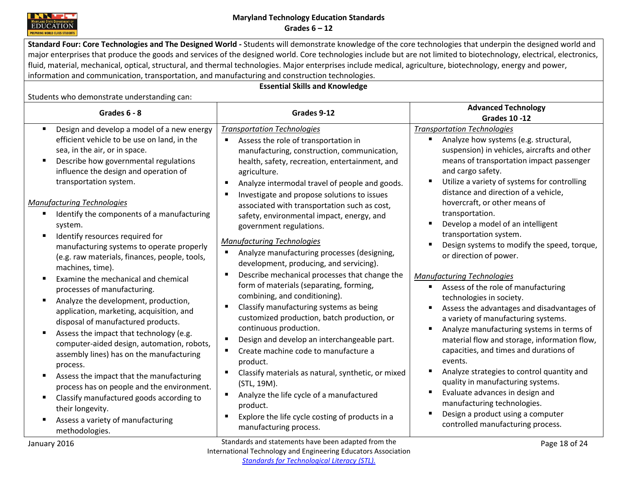

**Standard Four: Core Technologies and The Designed World -** Students will demonstrate knowledge of the core technologies that underpin the designed world and major enterprises that produce the goods and services of the designed world. Core technologies include but are not limited to biotechnology, electrical, electronics, fluid, material, mechanical, optical, structural, and thermal technologies. Major enterprises include medical, agriculture, biotechnology, energy and power, information and communication, transportation, and manufacturing and construction technologies.

# **Essential Skills and Knowledge**

| Grades 6 - 8                                                                                                                                                                                                                                                                                                                                                                                                                                                                                                                                                                                                                                                                                                                                                                                                                                                                                                                                                                                                                                                                 | Grades 9-12                                                                                                                                                                                                                                                                                                                                                                                                                                                                                                                                                                                                                                                                                                                                                                                                                                                                                                                                                                                                                                                                                                       | <b>Advanced Technology</b><br><b>Grades 10 -12</b>                                                                                                                                                                                                                                                                                                                                                                                                                                                                                                                                                                                                                                                                                                                                                                                                                                                                                                                                                                                                                                          |
|------------------------------------------------------------------------------------------------------------------------------------------------------------------------------------------------------------------------------------------------------------------------------------------------------------------------------------------------------------------------------------------------------------------------------------------------------------------------------------------------------------------------------------------------------------------------------------------------------------------------------------------------------------------------------------------------------------------------------------------------------------------------------------------------------------------------------------------------------------------------------------------------------------------------------------------------------------------------------------------------------------------------------------------------------------------------------|-------------------------------------------------------------------------------------------------------------------------------------------------------------------------------------------------------------------------------------------------------------------------------------------------------------------------------------------------------------------------------------------------------------------------------------------------------------------------------------------------------------------------------------------------------------------------------------------------------------------------------------------------------------------------------------------------------------------------------------------------------------------------------------------------------------------------------------------------------------------------------------------------------------------------------------------------------------------------------------------------------------------------------------------------------------------------------------------------------------------|---------------------------------------------------------------------------------------------------------------------------------------------------------------------------------------------------------------------------------------------------------------------------------------------------------------------------------------------------------------------------------------------------------------------------------------------------------------------------------------------------------------------------------------------------------------------------------------------------------------------------------------------------------------------------------------------------------------------------------------------------------------------------------------------------------------------------------------------------------------------------------------------------------------------------------------------------------------------------------------------------------------------------------------------------------------------------------------------|
| Design and develop a model of a new energy<br>п.<br>efficient vehicle to be use on land, in the<br>sea, in the air, or in space.<br>Describe how governmental regulations<br>influence the design and operation of<br>transportation system.<br><b>Manufacturing Technologies</b><br>Identify the components of a manufacturing<br>system.<br>Identify resources required for<br>manufacturing systems to operate properly<br>(e.g. raw materials, finances, people, tools,<br>machines, time).<br>Examine the mechanical and chemical<br>processes of manufacturing.<br>Analyze the development, production,<br>٠<br>application, marketing, acquisition, and<br>disposal of manufactured products.<br>Assess the impact that technology (e.g.<br>п.<br>computer-aided design, automation, robots,<br>assembly lines) has on the manufacturing<br>process.<br>Assess the impact that the manufacturing<br>process has on people and the environment.<br>Classify manufactured goods according to<br>their longevity.<br>Assess a variety of manufacturing<br>methodologies. | <b>Transportation Technologies</b><br>Assess the role of transportation in<br>manufacturing, construction, communication,<br>health, safety, recreation, entertainment, and<br>agriculture.<br>Analyze intermodal travel of people and goods.<br>Investigate and propose solutions to issues<br>associated with transportation such as cost,<br>safety, environmental impact, energy, and<br>government regulations.<br><b>Manufacturing Technologies</b><br>Analyze manufacturing processes (designing,<br>development, producing, and servicing).<br>Describe mechanical processes that change the<br>form of materials (separating, forming,<br>combining, and conditioning).<br>Classify manufacturing systems as being<br>customized production, batch production, or<br>continuous production.<br>Design and develop an interchangeable part.<br>Create machine code to manufacture a<br>product.<br>Classify materials as natural, synthetic, or mixed<br>(STL, 19M).<br>Analyze the life cycle of a manufactured<br>product.<br>Explore the life cycle costing of products in a<br>manufacturing process. | <b>Transportation Technologies</b><br>Analyze how systems (e.g. structural,<br>suspension) in vehicles, aircrafts and other<br>means of transportation impact passenger<br>and cargo safety.<br>Utilize a variety of systems for controlling<br>distance and direction of a vehicle,<br>hovercraft, or other means of<br>transportation.<br>Develop a model of an intelligent<br>$\blacksquare$<br>transportation system.<br>Design systems to modify the speed, torque,<br>or direction of power.<br><b>Manufacturing Technologies</b><br>Assess of the role of manufacturing<br>п.<br>technologies in society.<br>Assess the advantages and disadvantages of<br>a variety of manufacturing systems.<br>Analyze manufacturing systems in terms of<br>material flow and storage, information flow,<br>capacities, and times and durations of<br>events.<br>Analyze strategies to control quantity and<br>quality in manufacturing systems.<br>Evaluate advances in design and<br>٠<br>manufacturing technologies.<br>Design a product using a computer<br>controlled manufacturing process. |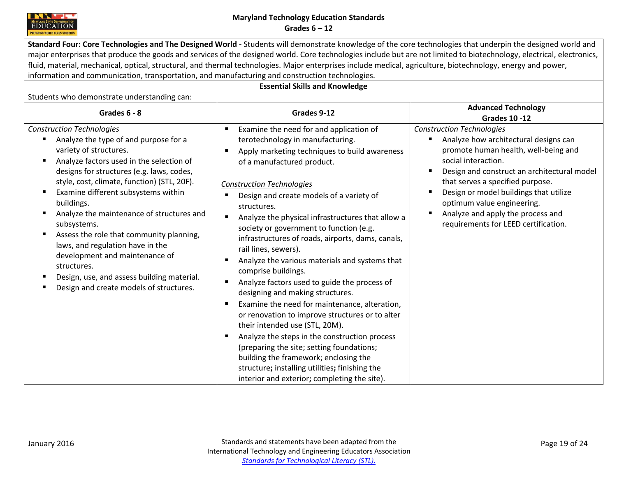

**Standard Four: Core Technologies and The Designed World -** Students will demonstrate knowledge of the core technologies that underpin the designed world and major enterprises that produce the goods and services of the designed world. Core technologies include but are not limited to biotechnology, electrical, electronics, fluid, material, mechanical, optical, structural, and thermal technologies. Major enterprises include medical, agriculture, biotechnology, energy and power, information and communication, transportation, and manufacturing and construction technologies.

# **Essential Skills and Knowledge**

| Grades 6 - 8                                                                                                                                                                                                                                                                                                                                                                                                                                                                                                                                                                           | Grades 9-12                                                                                                                                                                                                                                                                                                                                                                                                                                                                                                                                                                                                                                                                                                                                                                                                                                                                                                                                                                                            | <b>Advanced Technology</b><br><b>Grades 10 -12</b>                                                                                                                                                                                                                                                                                                                                                   |
|----------------------------------------------------------------------------------------------------------------------------------------------------------------------------------------------------------------------------------------------------------------------------------------------------------------------------------------------------------------------------------------------------------------------------------------------------------------------------------------------------------------------------------------------------------------------------------------|--------------------------------------------------------------------------------------------------------------------------------------------------------------------------------------------------------------------------------------------------------------------------------------------------------------------------------------------------------------------------------------------------------------------------------------------------------------------------------------------------------------------------------------------------------------------------------------------------------------------------------------------------------------------------------------------------------------------------------------------------------------------------------------------------------------------------------------------------------------------------------------------------------------------------------------------------------------------------------------------------------|------------------------------------------------------------------------------------------------------------------------------------------------------------------------------------------------------------------------------------------------------------------------------------------------------------------------------------------------------------------------------------------------------|
| <b>Construction Technologies</b><br>Analyze the type of and purpose for a<br>variety of structures.<br>Analyze factors used in the selection of<br>designs for structures (e.g. laws, codes,<br>style, cost, climate, function) (STL, 20F).<br>Examine different subsystems within<br>buildings.<br>Analyze the maintenance of structures and<br>subsystems.<br>Assess the role that community planning,<br>laws, and regulation have in the<br>development and maintenance of<br>structures.<br>Design, use, and assess building material.<br>Design and create models of structures. | Examine the need for and application of<br>п<br>terotechnology in manufacturing.<br>Apply marketing techniques to build awareness<br>of a manufactured product.<br><b>Construction Technologies</b><br>Design and create models of a variety of<br>structures.<br>Analyze the physical infrastructures that allow a<br>٠<br>society or government to function (e.g.<br>infrastructures of roads, airports, dams, canals,<br>rail lines, sewers).<br>Analyze the various materials and systems that<br>ш<br>comprise buildings.<br>Analyze factors used to guide the process of<br>٠<br>designing and making structures.<br>Examine the need for maintenance, alteration,<br>or renovation to improve structures or to alter<br>their intended use (STL, 20M).<br>Analyze the steps in the construction process<br>(preparing the site; setting foundations;<br>building the framework; enclosing the<br>structure; installing utilities; finishing the<br>interior and exterior; completing the site). | <b>Construction Technologies</b><br>Analyze how architectural designs can<br>п<br>promote human health, well-being and<br>social interaction.<br>Design and construct an architectural model<br>п<br>that serves a specified purpose.<br>Design or model buildings that utilize<br>п<br>optimum value engineering.<br>Analyze and apply the process and<br>п<br>requirements for LEED certification. |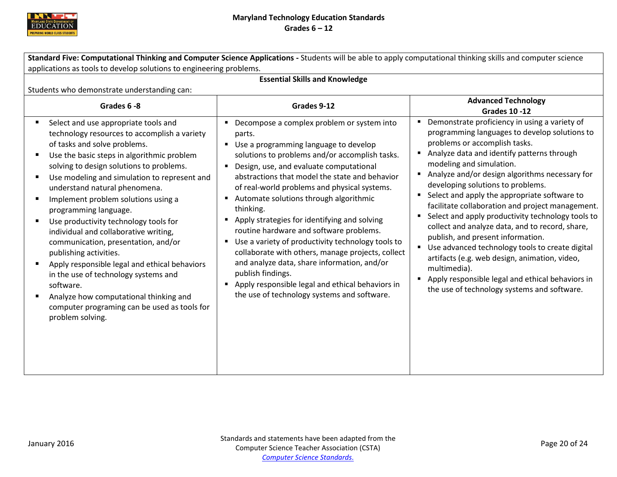

<span id="page-20-0"></span>

| Standard Five: Computational Thinking and Computer Science Applications - Students will be able to apply computational thinking skills and computer science                                                                                                                                                                                                                                                                                                                                                                                                                                                                                                                                                                            |                                                                                                                                                                                                                                                                                                                                                                                                                                                                                                                                                                                                                                                                                                                                       |                                                                                                                                                                                                                                                                                                                                                                                                                                                                                                                                                                                                                                                                                                                                                                          |
|----------------------------------------------------------------------------------------------------------------------------------------------------------------------------------------------------------------------------------------------------------------------------------------------------------------------------------------------------------------------------------------------------------------------------------------------------------------------------------------------------------------------------------------------------------------------------------------------------------------------------------------------------------------------------------------------------------------------------------------|---------------------------------------------------------------------------------------------------------------------------------------------------------------------------------------------------------------------------------------------------------------------------------------------------------------------------------------------------------------------------------------------------------------------------------------------------------------------------------------------------------------------------------------------------------------------------------------------------------------------------------------------------------------------------------------------------------------------------------------|--------------------------------------------------------------------------------------------------------------------------------------------------------------------------------------------------------------------------------------------------------------------------------------------------------------------------------------------------------------------------------------------------------------------------------------------------------------------------------------------------------------------------------------------------------------------------------------------------------------------------------------------------------------------------------------------------------------------------------------------------------------------------|
| applications as tools to develop solutions to engineering problems.                                                                                                                                                                                                                                                                                                                                                                                                                                                                                                                                                                                                                                                                    |                                                                                                                                                                                                                                                                                                                                                                                                                                                                                                                                                                                                                                                                                                                                       |                                                                                                                                                                                                                                                                                                                                                                                                                                                                                                                                                                                                                                                                                                                                                                          |
| <b>Essential Skills and Knowledge</b>                                                                                                                                                                                                                                                                                                                                                                                                                                                                                                                                                                                                                                                                                                  |                                                                                                                                                                                                                                                                                                                                                                                                                                                                                                                                                                                                                                                                                                                                       |                                                                                                                                                                                                                                                                                                                                                                                                                                                                                                                                                                                                                                                                                                                                                                          |
| Students who demonstrate understanding can:                                                                                                                                                                                                                                                                                                                                                                                                                                                                                                                                                                                                                                                                                            |                                                                                                                                                                                                                                                                                                                                                                                                                                                                                                                                                                                                                                                                                                                                       |                                                                                                                                                                                                                                                                                                                                                                                                                                                                                                                                                                                                                                                                                                                                                                          |
| Grades 6-8                                                                                                                                                                                                                                                                                                                                                                                                                                                                                                                                                                                                                                                                                                                             | Grades 9-12                                                                                                                                                                                                                                                                                                                                                                                                                                                                                                                                                                                                                                                                                                                           | <b>Advanced Technology</b><br><b>Grades 10 -12</b>                                                                                                                                                                                                                                                                                                                                                                                                                                                                                                                                                                                                                                                                                                                       |
| Select and use appropriate tools and<br>technology resources to accomplish a variety<br>of tasks and solve problems.<br>Use the basic steps in algorithmic problem<br>solving to design solutions to problems.<br>Use modeling and simulation to represent and<br>understand natural phenomena.<br>Implement problem solutions using a<br>programming language.<br>Use productivity technology tools for<br>individual and collaborative writing,<br>communication, presentation, and/or<br>publishing activities.<br>Apply responsible legal and ethical behaviors<br>in the use of technology systems and<br>software.<br>Analyze how computational thinking and<br>computer programing can be used as tools for<br>problem solving. | • Decompose a complex problem or system into<br>parts.<br>" Use a programming language to develop<br>solutions to problems and/or accomplish tasks.<br>" Design, use, and evaluate computational<br>abstractions that model the state and behavior<br>of real-world problems and physical systems.<br>Automate solutions through algorithmic<br>thinking.<br>Apply strategies for identifying and solving<br>routine hardware and software problems.<br>Use a variety of productivity technology tools to<br>collaborate with others, manage projects, collect<br>and analyze data, share information, and/or<br>publish findings.<br>Apply responsible legal and ethical behaviors in<br>the use of technology systems and software. | Demonstrate proficiency in using a variety of<br>programming languages to develop solutions to<br>problems or accomplish tasks.<br>Analyze data and identify patterns through<br>modeling and simulation.<br>Analyze and/or design algorithms necessary for<br>developing solutions to problems.<br>Select and apply the appropriate software to<br>facilitate collaboration and project management.<br>Select and apply productivity technology tools to<br>collect and analyze data, and to record, share,<br>publish, and present information.<br>Use advanced technology tools to create digital<br>artifacts (e.g. web design, animation, video,<br>multimedia).<br>Apply responsible legal and ethical behaviors in<br>the use of technology systems and software. |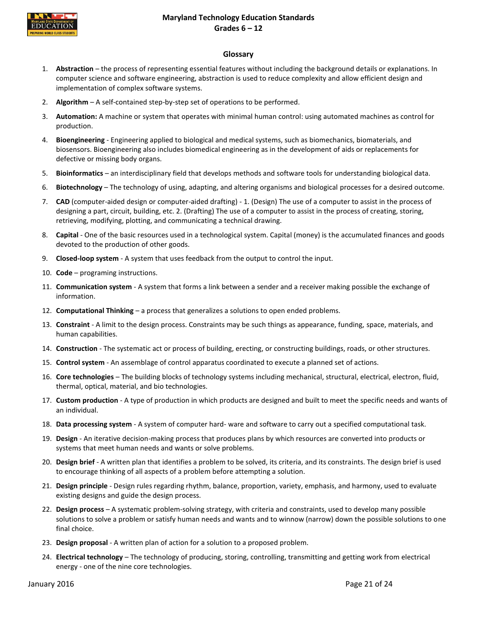<span id="page-21-0"></span>

#### **Glossary**

- 1. **Abstraction** the process of representing essential features without including the background details or explanations. In computer science and software engineering, abstraction is used to reduce complexity and allow efficient design and implementation of complex software systems.
- 2. **Algorithm** A self-contained step-by-step set of operations to be performed.
- 3. **Automation:** A machine or system that operates with minimal human control: using automated machines as control for production.
- 4. **Bioengineering** Engineering applied to biological and medical systems, such as biomechanics, biomaterials, and biosensors. Bioengineering also includes biomedical engineering as in the development of aids or replacements for defective or missing body organs.
- 5. **Bioinformatics** an interdisciplinary field that develops methods and software tools for understanding biological data.
- 6. **Biotechnology** The technology of using, adapting, and altering organisms and biological processes for a desired outcome.
- 7. **CAD** (computer-aided design or computer-aided drafting) 1. (Design) The use of a computer to assist in the process of designing a part, circuit, building, etc. 2. (Drafting) The use of a computer to assist in the process of creating, storing, retrieving, modifying, plotting, and communicating a technical drawing.
- 8. **Capital** One of the basic resources used in a technological system. Capital (money) is the accumulated finances and goods devoted to the production of other goods.
- 9. **Closed-loop system** A system that uses feedback from the output to control the input.
- 10. **Code** programing instructions.
- 11. **Communication system** A system that forms a link between a sender and a receiver making possible the exchange of information.
- 12. **Computational Thinking**  a process that generalizes a solutions to open ended problems.
- 13. **Constraint** A limit to the design process. Constraints may be such things as appearance, funding, space, materials, and human capabilities.
- 14. **Construction** The systematic act or process of building, erecting, or constructing buildings, roads, or other structures.
- 15. **Control system** An assemblage of control apparatus coordinated to execute a planned set of actions.
- 16. **Core technologies** The building blocks of technology systems including mechanical, structural, electrical, electron, fluid, thermal, optical, material, and bio technologies.
- 17. **Custom production** A type of production in which products are designed and built to meet the specific needs and wants of an individual.
- 18. **Data processing system** A system of computer hard- ware and software to carry out a specified computational task.
- 19. **Design** An iterative decision-making process that produces plans by which resources are converted into products or systems that meet human needs and wants or solve problems.
- 20. **Design brief** A written plan that identifies a problem to be solved, its criteria, and its constraints. The design brief is used to encourage thinking of all aspects of a problem before attempting a solution.
- 21. **Design principle** Design rules regarding rhythm, balance, proportion, variety, emphasis, and harmony, used to evaluate existing designs and guide the design process.
- 22. **Design process** A systematic problem-solving strategy, with criteria and constraints, used to develop many possible solutions to solve a problem or satisfy human needs and wants and to winnow (narrow) down the possible solutions to one final choice.
- 23. **Design proposal** A written plan of action for a solution to a proposed problem.
- 24. **Electrical technology** The technology of producing, storing, controlling, transmitting and getting work from electrical energy - one of the nine core technologies.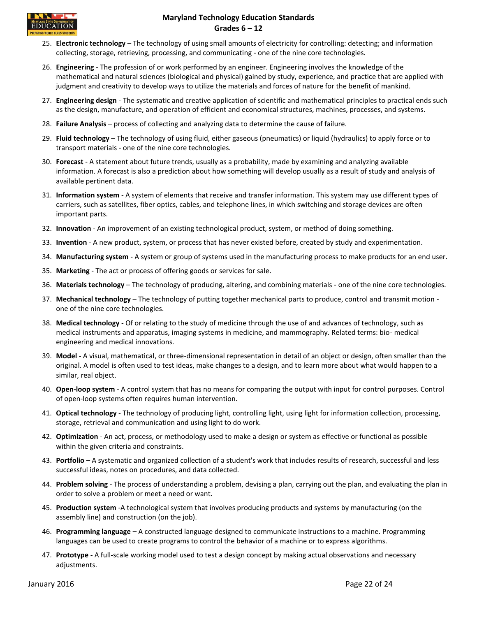

- 25. **Electronic technology** The technology of using small amounts of electricity for controlling: detecting; and information collecting, storage, retrieving, processing, and communicating - one of the nine core technologies.
- 26. **Engineering** The profession of or work performed by an engineer. Engineering involves the knowledge of the mathematical and natural sciences (biological and physical) gained by study, experience, and practice that are applied with judgment and creativity to develop ways to utilize the materials and forces of nature for the benefit of mankind.
- 27. **Engineering design** The systematic and creative application of scientific and mathematical principles to practical ends such as the design, manufacture, and operation of efficient and economical structures, machines, processes, and systems.
- 28. **Failure Analysis** process of collecting and analyzing data to determine the cause of failure.
- 29. **Fluid technology** The technology of using fluid, either gaseous (pneumatics) or liquid (hydraulics) to apply force or to transport materials - one of the nine core technologies.
- 30. **Forecast** A statement about future trends, usually as a probability, made by examining and analyzing available information. A forecast is also a prediction about how something will develop usually as a result of study and analysis of available pertinent data.
- 31. **Information system** A system of elements that receive and transfer information. This system may use different types of carriers, such as satellites, fiber optics, cables, and telephone lines, in which switching and storage devices are often important parts.
- 32. **Innovation** An improvement of an existing technological product, system, or method of doing something.
- 33. **Invention** A new product, system, or process that has never existed before, created by study and experimentation.
- 34. **Manufacturing system** A system or group of systems used in the manufacturing process to make products for an end user.
- 35. **Marketing** The act or process of offering goods or services for sale.
- 36. **Materials technology** The technology of producing, altering, and combining materials one of the nine core technologies.
- 37. **Mechanical technology** The technology of putting together mechanical parts to produce, control and transmit motion one of the nine core technologies.
- 38. **Medical technology**  Of or relating to the study of medicine through the use of and advances of technology, such as medical instruments and apparatus, imaging systems in medicine, and mammography. Related terms: bio- medical engineering and medical innovations.
- 39. **Model -** A visual, mathematical, or three-dimensional representation in detail of an object or design, often smaller than the original. A model is often used to test ideas, make changes to a design, and to learn more about what would happen to a similar, real object.
- 40. **Open-loop system** A control system that has no means for comparing the output with input for control purposes. Control of open-loop systems often requires human intervention.
- 41. **Optical technology**  The technology of producing light, controlling light, using light for information collection, processing, storage, retrieval and communication and using light to do work.
- 42. **Optimization** An act, process, or methodology used to make a design or system as effective or functional as possible within the given criteria and constraints.
- 43. **Portfolio** A systematic and organized collection of a student's work that includes results of research, successful and less successful ideas, notes on procedures, and data collected.
- 44. **Problem solving** The process of understanding a problem, devising a plan, carrying out the plan, and evaluating the plan in order to solve a problem or meet a need or want.
- 45. **Production system** -A technological system that involves producing products and systems by manufacturing (on the assembly line) and construction (on the job).
- 46. **Programming language –** A constructed language designed to communicate instructions to a machine. Programming languages can be used to create programs to control the behavior of a machine or to express algorithms.
- 47. **Prototype** A full-scale working model used to test a design concept by making actual observations and necessary adjustments.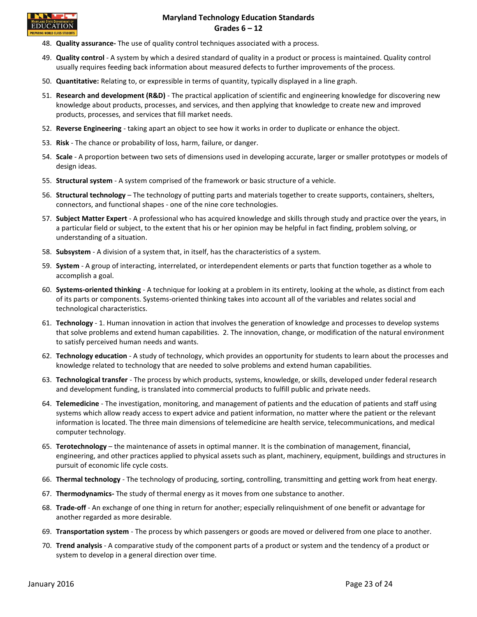

- 48. **Quality assurance-** The use of quality control techniques associated with a process.
- 49. **Quality control** A system by which a desired standard of quality in a product or process is maintained. Quality control usually requires feeding back information about measured defects to further improvements of the process.
- 50. **Quantitative:** Relating to, or expressible in terms of quantity, typically displayed in a line graph.
- 51. **Research and development (R&D)** The practical application of scientific and engineering knowledge for discovering new knowledge about products, processes, and services, and then applying that knowledge to create new and improved products, processes, and services that fill market needs.
- 52. **Reverse Engineering**  taking apart an object to see how it works in order to duplicate or enhance the object.
- 53. **Risk**  The chance or probability of loss, harm, failure, or danger.
- 54. **Scale** A proportion between two sets of dimensions used in developing accurate, larger or smaller prototypes or models of design ideas.
- 55. **Structural system** A system comprised of the framework or basic structure of a vehicle.
- 56. **Structural technology** The technology of putting parts and materials together to create supports, containers, shelters, connectors, and functional shapes - one of the nine core technologies.
- 57. **Subject Matter Expert** A professional who has acquired knowledge and skills through study and practice over the years, in a particular field or subject, to the extent that his or her opinion may be helpful in fact finding, problem solving, or understanding of a situation.
- 58. **Subsystem** A division of a system that, in itself, has the characteristics of a system.
- 59. **System** A group of interacting, interrelated, or interdependent elements or parts that function together as a whole to accomplish a goal.
- 60. **Systems-oriented thinking** A technique for looking at a problem in its entirety, looking at the whole, as distinct from each of its parts or components. Systems-oriented thinking takes into account all of the variables and relates social and technological characteristics.
- 61. **Technology** 1. Human innovation in action that involves the generation of knowledge and processes to develop systems that solve problems and extend human capabilities. 2. The innovation, change, or modification of the natural environment to satisfy perceived human needs and wants.
- 62. **Technology education** A study of technology, which provides an opportunity for students to learn about the processes and knowledge related to technology that are needed to solve problems and extend human capabilities.
- 63. **Technological transfer** The process by which products, systems, knowledge, or skills, developed under federal research and development funding, is translated into commercial products to fulfill public and private needs.
- 64. **Telemedicine**  The investigation, monitoring, and management of patients and the education of patients and staff using systems which allow ready access to expert advice and patient information, no matter where the patient or the relevant information is located. The three main dimensions of telemedicine are health service, telecommunications, and medical computer technology.
- 65. **Terotechnology** the maintenance of assets in optimal manner. It is the combination of management, financial, engineering, and other practices applied to physical assets such as plant, machinery, equipment, buildings and structures in pursuit of economic life cycle costs.
- 66. **Thermal technology**  The technology of producing, sorting, controlling, transmitting and getting work from heat energy.
- 67. **Thermodynamics-** The study of thermal energy as it moves from one substance to another.
- 68. **Trade-off** An exchange of one thing in return for another; especially relinquishment of one benefit or advantage for another regarded as more desirable.
- 69. **Transportation system** The process by which passengers or goods are moved or delivered from one place to another.
- 70. **Trend analysis** A comparative study of the component parts of a product or system and the tendency of a product or system to develop in a general direction over time.